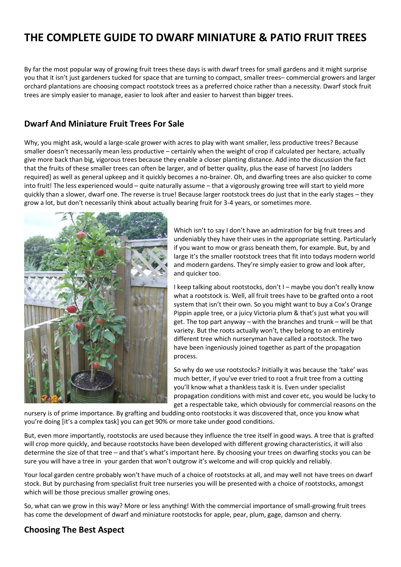# **THE COMPLETE GUIDE TO DWARF MINIATURE & PATIO FRUIT TREES**

By far the most popular way of growing fruit trees these days is with dwarf trees for small gardens and it might surprise you that it isn't just gardeners tucked for space that are turning to compact, smaller trees– commercial growers and larger orchard plantations are choosing compact rootstock trees as a preferred choice rather than a necessity. Dwarf stock fruit trees are simply easier to manage, easier to look after and easier to harvest than bigger trees.

#### **[Dwarf And Miniature Fruit Trees For Sale](https://www.chrisbowers.co.uk/category/top-fruits/)**

Why, you might ask, would a large-scale grower with acres to play with want smaller, less productive trees? Because smaller doesn't necessarily mean less productive – certainly when the weight of crop if calculated per hectare, actually give more back than big, vigorous trees because they enable a closer planting distance. Add into the discussion the fact that the fruits of these smaller trees can often be larger, and of better quality, plus the ease of harvest [no ladders required] as well as general upkeep and it quickly becomes a no-brainer. Oh, and dwarfing trees are also quicker to come into fruit! The less experienced would – quite naturally assume – that a vigorously growing tree will start to yield more quickly than a slower, dwarf one. The reverse is true! Because larger rootstock trees do just that in the early stages – they grow a lot, but don't necessarily think about actually bearing fruit for 3-4 years, or sometimes more.



Which isn't to say I don't have an admiration for big fruit trees and undeniably they have their uses in the appropriate setting. Particularly if you want to mow or grass beneath them, for example. But, by and large it's the smaller rootstock trees that fit into todays modern world and modern gardens. They're simply easier to grow and look after, and quicker too.

I keep talking about rootstocks, don't I – maybe you don't really know what a rootstock is. Well, all fruit trees have to be grafted onto a root system that isn't their own. So you might want to buy a Cox's Orange Pippin apple tree, or a juicy Victoria plum & that's just what you will get. The top part anyway – with the branches and trunk – will be that variety. But the roots actually won't, they belong to an entirely different tree which nurseryman have called a rootstock. The two have been ingeniously joined together as part of the propagation process.

So why do we use rootstocks? Initially it was because the 'take' was much better, if you've ever tried to root a fruit tree from a cutting you'll know what a thankless task it is. Even under specialist propagation conditions with mist and cover etc, you would be lucky to get a respectable take, which obviously for commercial reasons on the

nursery is of prime importance. By grafting and budding onto rootstocks it was discovered that, once you know what you're doing [it's a complex task] you can get 90% or more take under good conditions.

But, even more importantly, rootstocks are used because they influence the tree itself in good ways. A tree that is grafted will crop more quickly, and because rootstocks have been developed with different growing characteristics, it will also determine the size of that tree – and that's what's important here. By choosing your trees on dwarfing stocks you can be sure you will have a tree in your garden that won't outgrow it's welcome and will crop quickly and reliably.

Your local garden centre probably won't have much of a choice of rootstocks at all, and may well not have trees on dwarf stock. But by purchasing from specialist fruit tree nurseries you will be presented with a choice of rootstocks, amongst which will be those precious smaller growing ones.

So, what can we grow in this way? More or less anything! With the commercial importance of small-growing fruit trees has come the development of dwarf and miniature rootstocks for apple, pear, plum, gage, damson and cherry.

#### **Choosing The Best Aspect**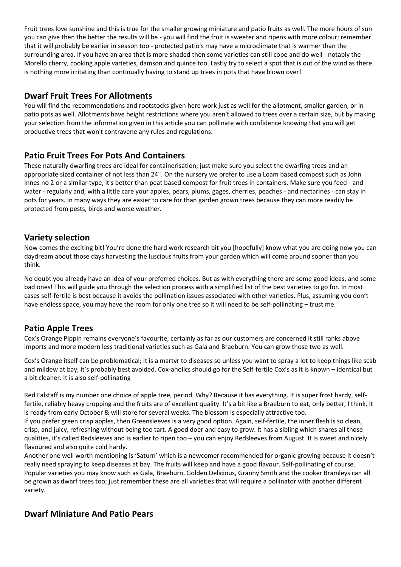Fruit trees love sunshine and this is true for the smaller growing miniature and patio fruits as well. The more hours of sun you can give then the better the results will be - you will find the fruit is sweeter and ripens with more colour; remember that it will probably be earlier in season too - protected patio's may have a microclimate that is warmer than the surrounding area. If you have an area that is more shaded then some varieties can still cope and do well - notably the Morello cherry, cooking apple varieties, damson and quince too. Lastly try to select a spot that is out of the wind as there is nothing more irritating than continually having to stand up trees in pots that have blown over!

## **Dwarf Fruit Trees For Allotments**

You will find the recommendations and rootstocks given here work just as well for the allotment, smaller garden, or in patio pots as well. Allotments have height restrictions where you aren't allowed to trees over a certain size, but by making your selection from the information given in this article you can pollinate with confidence knowing that you will get productive trees that won't contravene any rules and regulations.

## **Patio Fruit Trees For Pots And Containers**

These naturally dwarfing trees are ideal for containerisation; just make sure you select the dwarfing trees and an appropriate sized container of not less than 24". On the nursery we prefer to use a Loam based compost such as John Innes no 2 or a similar type, it's better than peat based compost for fruit trees in containers. Make sure you feed - and water - regularly and, with a little care your apples, pears, plums, gages, cherries, peaches - and nectarines - can stay in pots for years. In many ways they are easier to care for than garden grown trees because they can more readily be protected from pests, birds and worse weather.

#### **Variety selection**

Now comes the exciting bit! You're done the hard work research bit you [hopefully] know what you are doing now you can daydream about those days harvesting the luscious fruits from your garden which will come around sooner than you think.

No doubt you already have an idea of your preferred choices. But as with everything there are some good ideas, and some bad ones! This will guide you through the selection process with a simplified list of the best varieties to go for. In most cases self-fertile is best because it avoids the pollination issues associated with other varieties. Plus, assuming you don't have endless space, you may have the room for only one tree so it will need to be self-pollinating – trust me.

# **Patio Apple Trees**

Cox's Orange Pippin remains everyone's favourite, certainly as far as our customers are concerned it still ranks above imports and more modern less traditional varieties such as Gala and Braeburn. You can grow those two as well.

[Cox's Orange](https://www.chrisbowers.co.uk/product/apples-cox-orange/) itself can be problematical; it is a martyr to diseases so unless you want to spray a lot to keep things like scab and mildew at bay, it's probably best avoided. Cox-aholics should go for the Self-fertile Cox's as it is known – identical but a bit cleaner. It is also self-pollinating

[Red Falstaff](https://www.chrisbowers.co.uk/product/apples-falstaff-red/) is my number one choice of apple tree, period. Why? Because it has everything. It is super frost hardy, selffertile, reliably heavy cropping and the fruits are of excellent quality. It's a bit like a Braeburn to eat, only better, I think. It is ready from early October & will store for several weeks. The blossom is especially attractive too.

If you prefer green crisp apples, then [Greensleeves](https://www.chrisbowers.co.uk/product/apples-greensleeves/) is a very good option. Again, self-fertile, the inner flesh is so clean, crisp, and juicy, refreshing without being too tart. A good doer and easy to grow. It has a sibling which shares all those qualities, it's called Redsleeves and is earlier to ripen too – you can enjoy Redsleeves from August. It is sweet and nicely flavoured and also quite cold hardy.

Another one well worth mentioning is ['Saturn'](https://www.chrisbowers.co.uk/product/apples-saturn/) which is a newcomer recommended for organic growing because it doesn't really need spraying to keep diseases at bay. The fruits will keep and have a good flavour. Self-pollinating of course. Popular varieties you may know such as Gala, Braeburn, Golden Delicious, Granny Smith and the cooker Bramleys can all be grown as dwarf trees too; just remember these are all varieties that will require a pollinator with another different variety.

# **Dwarf Miniature And Patio Pears**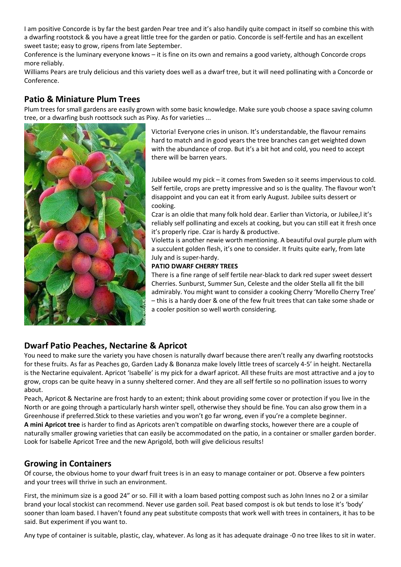I am positive [Concorde](https://www.chrisbowers.co.uk/product/pear-concorde/) is by far the best garden Pear tree and it's also handily quite compact in itself so combine this with a dwarfing rootstock & you have a great little tree for the garden or patio. Concorde is self-fertile and has an excellent sweet taste; easy to grow, ripens from late September.

[Conference](https://www.chrisbowers.co.uk/product/pear-conference/) is the luminary everyone knows – it is fine on its own and remains a good variety, although Concorde crops more reliably.

[Williams Pears](https://www.chrisbowers.co.uk/product/pear-williamsbonchretien/) are truly delicious and this variety does well as a dwarf tree, but it will need pollinating with a Concorde or Conference.

# **Patio & Miniature Plum Trees**

Plum trees for small gardens are easily grown with some basic knowledge. Make sure youb choose a space saving column tree, or a dwarfing bush roottsock such as Pixy. As for varieties ...



[Victoria!](https://www.chrisbowers.co.uk/product/plum-victoria/) Everyone cries in unison. It's understandable, the flavour remains hard to match and in good years the tree branches can get weighted down with the abundance of crop. But it's a bit hot and cold, you need to accept there will be barren years.

[Jubilee](https://www.chrisbowers.co.uk/product/plum-asurperbjubilee/) would my pick – it comes from Sweden so it seems impervious to cold. Self fertile, crops are pretty impressive and so is the quality. The flavour won't disappoint and you can eat it from early August. Jubilee suits dessert or cooking.

[Czar](https://www.chrisbowers.co.uk/product/plum-czar/) is an oldie that many folk hold dear. Earlier than Victoria, or Jubilee,l it's reliably self pollinating and excels at cooking, but you can still eat it fresh once it's properly ripe. Czar is hardy & productive.

[Violetta](https://www.chrisbowers.co.uk/product/plun-violetta/) is another newie worth mentioning. A beautiful oval purple plum with a succulent golden flesh, it's one to consider. It fruits quite early, from late July and is super-hardy.

#### **PATIO DWARF CHERRY TREES**

There is a fine range of self fertile near-black to dark red super sweet dessert Cherries. [Sunburst, Summer Sun, Celeste](https://www.chrisbowers.co.uk/category/cherries/) and the older Stella all fit the bill admirably. You might want to consider a cooking Cherry '[Morello Cherry Tree](https://www.chrisbowers.co.uk/product/cherry-morello/)' – this is a hardy doer & one of the few fruit trees that can take some shade or a cooler position so well worth considering.

# **Dwarf Patio Peaches, Nectarine & Apricot**

You need to make sure the variety you have chosen is naturally dwarf because there aren't really any dwarfing rootstocks for these fruits. As far as Peaches go, [Garden Lady & Bonanza](https://www.chrisbowers.co.uk/product/dwarf-lady/) make lovely little trees of scarcely 4-5' in height. Nectarella is the Nectarine equivalent. Apricot 'Isabelle' is my pick for a dwarf apricot. All these fruits are most attractive and a joy to grow, crops can be quite heavy in a sunny sheltered corner. And they are all self fertile so no pollination issues to worry about.

[Peach, Apricot & Nectarine](https://www.chrisbowers.co.uk/category/apricots/) are frost hardy to an extent; think about providing some cover or protection if you live in the North or are going through a particularly harsh winter spell, otherwise they should be fine. You can also grow them in a Greenhouse if preferred.Stick to these varieties and you won't go far wrong, even if you're a complete beginner. **A mini Apricot tree** is harder to find as Apricots aren't compatible on dwarfing stocks, however there are a couple of naturally smaller growing varieties that can easily be accommodated on the patio, in a container or smaller garden border. Look for [Isabelle Apricot Tree](https://www.chrisbowers.co.uk/product/apricot-isabelle/) and the new Aprigold, both will give delicious results!

# **Growing in Containers**

Of course, the obvious home to your dwarf fruit trees is in an easy to manage container or pot. Observe a few pointers and your trees will thrive in such an environment.

First, the minimum size is a good 24" or so. Fill it with a loam based potting compost such as John Innes no 2 or a similar brand your local stockist can recommend. Never use garden soil. Peat based compost is ok but tends to lose it's 'body' sooner than loam based. I haven't found any peat substitute composts that work well with trees in containers, it has to be said. But experiment if you want to.

Any type of container is suitable, plastic, clay, whatever. As long as it has adequate drainage -0 no tree likes to sit in water.